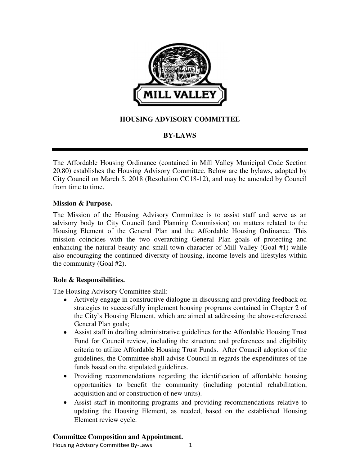

# **HOUSING ADVISORY COMMITTEE**

# **BY-LAWS**

The Affordable Housing Ordinance (contained in Mill Valley Municipal Code Section 20.80) establishes the Housing Advisory Committee. Below are the bylaws, adopted by City Council on March 5, 2018 (Resolution CC18-12), and may be amended by Council from time to time.

## **Mission & Purpose.**

The Mission of the Housing Advisory Committee is to assist staff and serve as an advisory body to City Council (and Planning Commission) on matters related to the Housing Element of the General Plan and the Affordable Housing Ordinance. This mission coincides with the two overarching General Plan goals of protecting and enhancing the natural beauty and small-town character of Mill Valley (Goal #1) while also encouraging the continued diversity of housing, income levels and lifestyles within the community (Goal #2).

### **Role & Responsibilities.**

The Housing Advisory Committee shall:

- Actively engage in constructive dialogue in discussing and providing feedback on strategies to successfully implement housing programs contained in Chapter 2 of the City's Housing Element, which are aimed at addressing the above-referenced General Plan goals;
- Assist staff in drafting administrative guidelines for the Affordable Housing Trust Fund for Council review, including the structure and preferences and eligibility criteria to utilize Affordable Housing Trust Funds. After Council adoption of the guidelines, the Committee shall advise Council in regards the expenditures of the funds based on the stipulated guidelines.
- Providing recommendations regarding the identification of affordable housing opportunities to benefit the community (including potential rehabilitation, acquisition and or construction of new units).
- Assist staff in monitoring programs and providing recommendations relative to updating the Housing Element, as needed, based on the established Housing Element review cycle.

### **Committee Composition and Appointment.**

Housing Advisory Committee By-Laws 1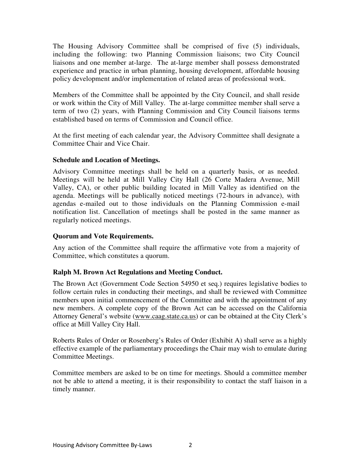The Housing Advisory Committee shall be comprised of five (5) individuals, including the following: two Planning Commission liaisons; two City Council liaisons and one member at-large. The at-large member shall possess demonstrated experience and practice in urban planning, housing development, affordable housing policy development and/or implementation of related areas of professional work.

Members of the Committee shall be appointed by the City Council, and shall reside or work within the City of Mill Valley. The at-large committee member shall serve a term of two (2) years, with Planning Commission and City Council liaisons terms established based on terms of Commission and Council office.

At the first meeting of each calendar year, the Advisory Committee shall designate a Committee Chair and Vice Chair.

# **Schedule and Location of Meetings.**

Advisory Committee meetings shall be held on a quarterly basis, or as needed. Meetings will be held at Mill Valley City Hall (26 Corte Madera Avenue, Mill Valley, CA), or other public building located in Mill Valley as identified on the agenda. Meetings will be publically noticed meetings (72-hours in advance), with agendas e-mailed out to those individuals on the Planning Commission e-mail notification list. Cancellation of meetings shall be posted in the same manner as regularly noticed meetings.

## **Quorum and Vote Requirements.**

Any action of the Committee shall require the affirmative vote from a majority of Committee, which constitutes a quorum.

# **Ralph M. Brown Act Regulations and Meeting Conduct.**

The Brown Act (Government Code Section 54950 et seq.) requires legislative bodies to follow certain rules in conducting their meetings, and shall be reviewed with Committee members upon initial commencement of the Committee and with the appointment of any new members. A complete copy of the Brown Act can be accessed on the California Attorney General's website (www.caag.state.ca.us) or can be obtained at the City Clerk's office at Mill Valley City Hall.

Roberts Rules of Order or Rosenberg's Rules of Order (Exhibit A) shall serve as a highly effective example of the parliamentary proceedings the Chair may wish to emulate during Committee Meetings.

Committee members are asked to be on time for meetings. Should a committee member not be able to attend a meeting, it is their responsibility to contact the staff liaison in a timely manner.